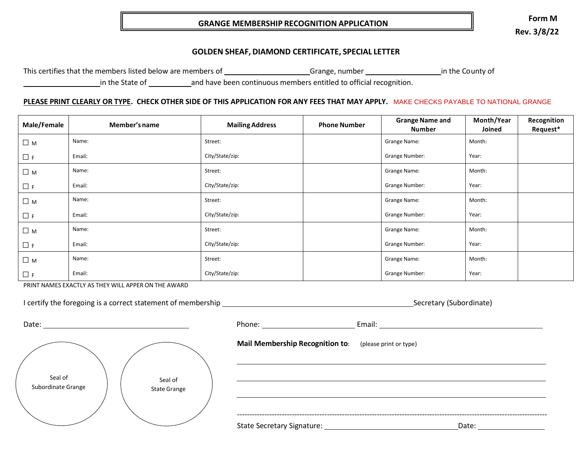## **GRANGE MEMBERSHIP RECOGNITION APPLICATION**

**Form M Rev. 3/8/22**

## **GOLDEN SHEAF, DIAMOND CERTIFICATE, SPECIAL LETTER**

This certifies that the members listed below are members of Grange, number in the County of

in the State of and have been continuous members entitled to official recognition.

#### <u>PLEASE PRINT CLEARLY OR TYPE</u>. CHECK OTHER SIDE OF THIS APPLICATION FOR ANY FEES THAT MAY APPLY. MAKE CHECKS PAYABLE TO NATIONAL GRANGE

| Male/Female | Member's name | <b>Mailing Address</b> | <b>Phone Number</b> | <b>Grange Name and</b><br><b>Number</b> | Month/Year<br>Joined | Recognition<br>Request* |
|-------------|---------------|------------------------|---------------------|-----------------------------------------|----------------------|-------------------------|
| $\Box$ M    | Name:         | Street:                |                     | Grange Name:                            | Month:               |                         |
| $\Box$ F    | Email:        | City/State/zip:        |                     | <b>Grange Number:</b>                   | Year:                |                         |
| $\Box$ M    | Name:         | Street:                |                     | Grange Name:                            | Month:               |                         |
| $\Box$ F    | Email:        | City/State/zip:        |                     | <b>Grange Number:</b>                   | Year:                |                         |
| $\Box$ M    | Name:         | Street:                |                     | Grange Name:                            | Month:               |                         |
| $\Box$ F    | Email:        | City/State/zip:        |                     | <b>Grange Number:</b>                   | Year:                |                         |
| $\Box$ M    | Name:         | Street:                |                     | Grange Name:                            | Month:               |                         |
| $\Box$ F    | Email:        | City/State/zip:        |                     | Grange Number:                          | Year:                |                         |
| $\Box$ M    | Name:         | Street:                |                     | Grange Name:                            | Month:               |                         |
| $\Box$ F    | Email:        | City/State/zip:        |                     | <b>Grange Number:</b>                   | Year:                |                         |

PRINT NAMES EXACTLY AS THEY WILL APPER ON THE AWARD

| I certify the foregoing is a correct statement of membership |  |  |  |  |  |  |  |  |  |
|--------------------------------------------------------------|--|--|--|--|--|--|--|--|--|
|--------------------------------------------------------------|--|--|--|--|--|--|--|--|--|

Secretary (Subordinate)

| Seal of            | Seal of             |
|--------------------|---------------------|
| Subordinate Grange | <b>State Grange</b> |
|                    |                     |

| Date:              |                     | Phone:                                                 | Email: |
|--------------------|---------------------|--------------------------------------------------------|--------|
|                    |                     | Mail Membership Recognition to: (please print or type) |        |
| Seal of            | Seal of             |                                                        |        |
| Subordinate Grange | <b>State Grange</b> |                                                        |        |
|                    |                     |                                                        |        |

State Secretary Signature: The Contract of the Date: